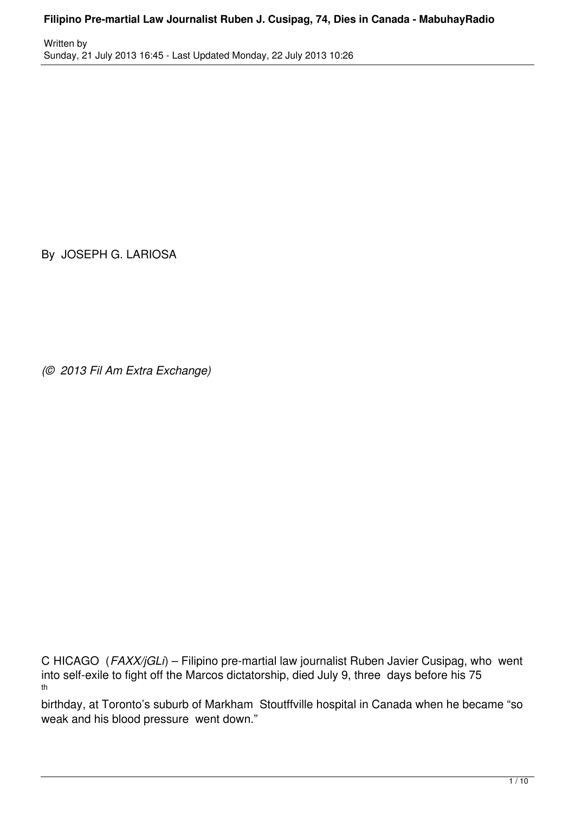Written by Sunday, 21 July 2013 16:45 - Last Updated Monday, 22 July 2013 10:26

By JOSEPH G. LARIOSA

*(© 2013 Fil Am Extra Exchange)*

C HICAGO (*FAXX/jGLi*) – Filipino pre-martial law journalist Ruben Javier Cusipag, who went into self-exile to fight off the Marcos dictatorship, died July 9, three days before his 75 th

birthday, at Toronto's suburb of Markham Stoutffville hospital in Canada when he became "so weak and his blood pressure went down."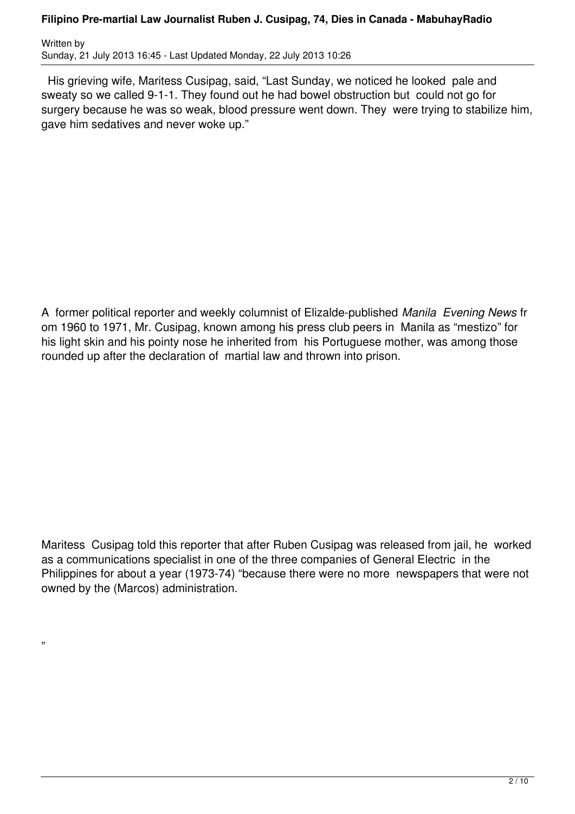Written by Sunday, 21 July 2013 16:45 - Last Updated Monday, 22 July 2013 10:26

 His grieving wife, Maritess Cusipag, said, "Last Sunday, we noticed he looked pale and sweaty so we called 9-1-1. They found out he had bowel obstruction but could not go for surgery because he was so weak, blood pressure went down. They were trying to stabilize him, gave him sedatives and never woke up."

A former political reporter and weekly columnist of Elizalde-published *Manila Evening News* fr om 1960 to 1971, Mr. Cusipag, known among his press club peers in Manila as "mestizo" for his light skin and his pointy nose he inherited from his Portuguese mother, was among those rounded up after the declaration of martial law and thrown into prison.

Maritess Cusipag told this reporter that after Ruben Cusipag was released from jail, he worked as a communications specialist in one of the three companies of General Electric in the Philippines for about a year (1973-74) "because there were no more newspapers that were not owned by the (Marcos) administration.

"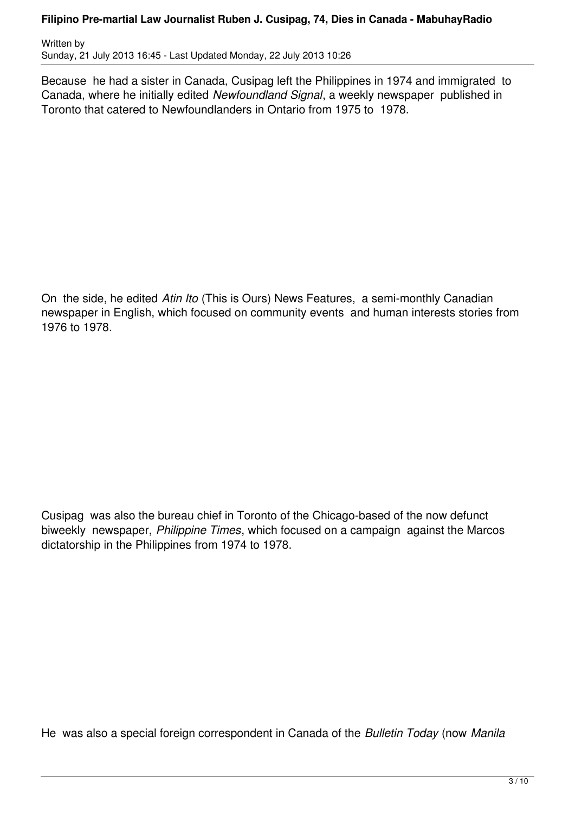Written by Sunday, 21 July 2013 16:45 - Last Updated Monday, 22 July 2013 10:26

Because he had a sister in Canada, Cusipag left the Philippines in 1974 and immigrated to Canada, where he initially edited *Newfoundland Signal*, a weekly newspaper published in Toronto that catered to Newfoundlanders in Ontario from 1975 to 1978.

On the side, he edited *Atin Ito* (This is Ours) News Features, a semi-monthly Canadian newspaper in English, which focused on community events and human interests stories from 1976 to 1978.

Cusipag was also the bureau chief in Toronto of the Chicago-based of the now defunct biweekly newspaper, *Philippine Times*, which focused on a campaign against the Marcos dictatorship in the Philippines from 1974 to 1978.

He was also a special foreign correspondent in Canada of the *Bulletin Today* (now *Manila*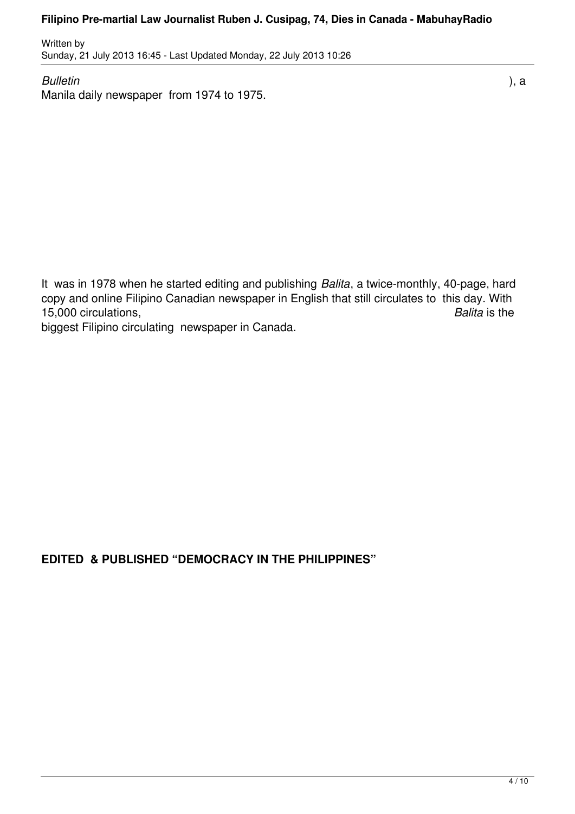Written by Sunday, 21 July 2013 16:45 - Last Updated Monday, 22 July 2013 10:26

*Bulletin* ), a Manila daily newspaper from 1974 to 1975.

It was in 1978 when he started editing and publishing *Balita*, a twice-monthly, 40-page, hard copy and online Filipino Canadian newspaper in English that still circulates to this day. With 15,000 circulations, *Balita* is the biggest Filipino circulating newspaper in Canada.

**EDITED & PUBLISHED "DEMOCRACY IN THE PHILIPPINES"**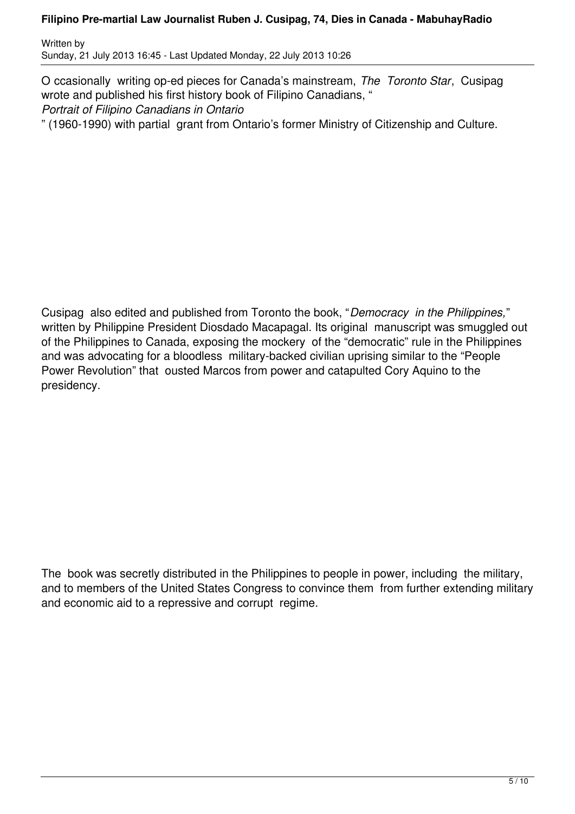Written by Sunday, 21 July 2013 16:45 - Last Updated Monday, 22 July 2013 10:26

O ccasionally writing op-ed pieces for Canada's mainstream, *The Toronto Star*, Cusipag wrote and published his first history book of Filipino Canadians, " *Portrait of Filipino Canadians in Ontario* " (1960-1990) with partial grant from Ontario's former Ministry of Citizenship and Culture.

Cusipag also edited and published from Toronto the book, "*Democracy in the Philippines,*" written by Philippine President Diosdado Macapagal. Its original manuscript was smuggled out of the Philippines to Canada, exposing the mockery of the "democratic" rule in the Philippines and was advocating for a bloodless military-backed civilian uprising similar to the "People Power Revolution" that ousted Marcos from power and catapulted Cory Aquino to the presidency.

The book was secretly distributed in the Philippines to people in power, including the military, and to members of the United States Congress to convince them from further extending military and economic aid to a repressive and corrupt regime.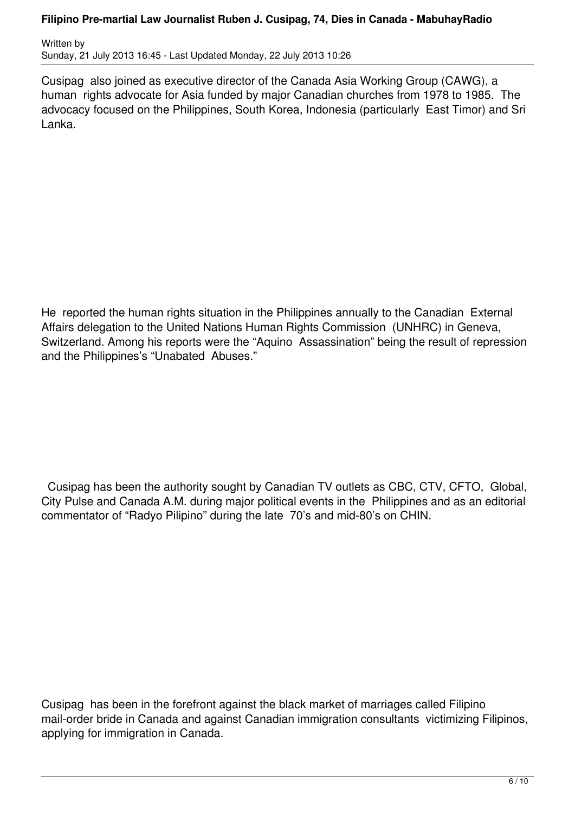Written by Sunday, 21 July 2013 16:45 - Last Updated Monday, 22 July 2013 10:26

Cusipag also joined as executive director of the Canada Asia Working Group (CAWG), a human rights advocate for Asia funded by major Canadian churches from 1978 to 1985. The advocacy focused on the Philippines, South Korea, Indonesia (particularly East Timor) and Sri Lanka.

He reported the human rights situation in the Philippines annually to the Canadian External Affairs delegation to the United Nations Human Rights Commission (UNHRC) in Geneva, Switzerland. Among his reports were the "Aquino Assassination" being the result of repression and the Philippines's "Unabated Abuses."

 Cusipag has been the authority sought by Canadian TV outlets as CBC, CTV, CFTO, Global, City Pulse and Canada A.M. during major political events in the Philippines and as an editorial commentator of "Radyo Pilipino" during the late 70's and mid-80's on CHIN.

Cusipag has been in the forefront against the black market of marriages called Filipino mail-order bride in Canada and against Canadian immigration consultants victimizing Filipinos, applying for immigration in Canada.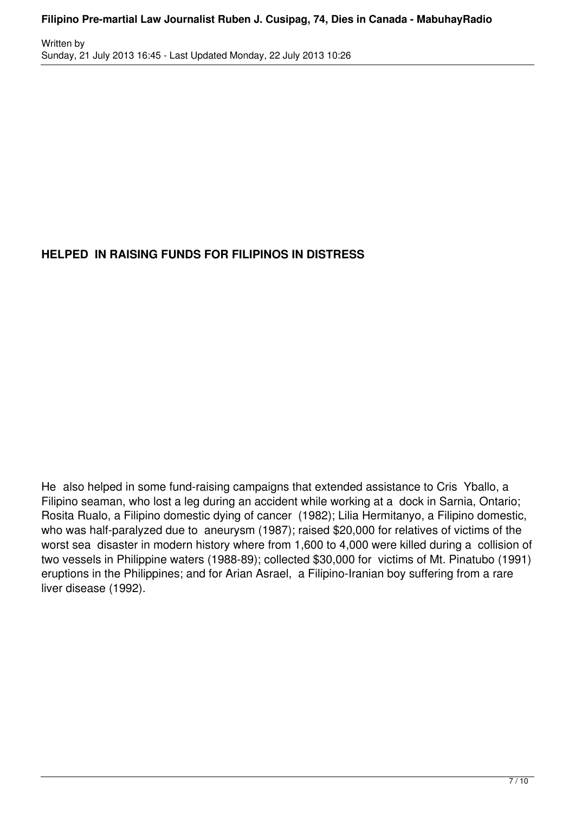# **HELPED IN RAISING FUNDS FOR FILIPINOS IN DISTRESS**

He also helped in some fund-raising campaigns that extended assistance to Cris Yballo, a Filipino seaman, who lost a leg during an accident while working at a dock in Sarnia, Ontario; Rosita Rualo, a Filipino domestic dying of cancer (1982); Lilia Hermitanyo, a Filipino domestic, who was half-paralyzed due to aneurysm (1987); raised \$20,000 for relatives of victims of the worst sea disaster in modern history where from 1,600 to 4,000 were killed during a collision of two vessels in Philippine waters (1988-89); collected \$30,000 for victims of Mt. Pinatubo (1991) eruptions in the Philippines; and for Arian Asrael, a Filipino-Iranian boy suffering from a rare liver disease (1992).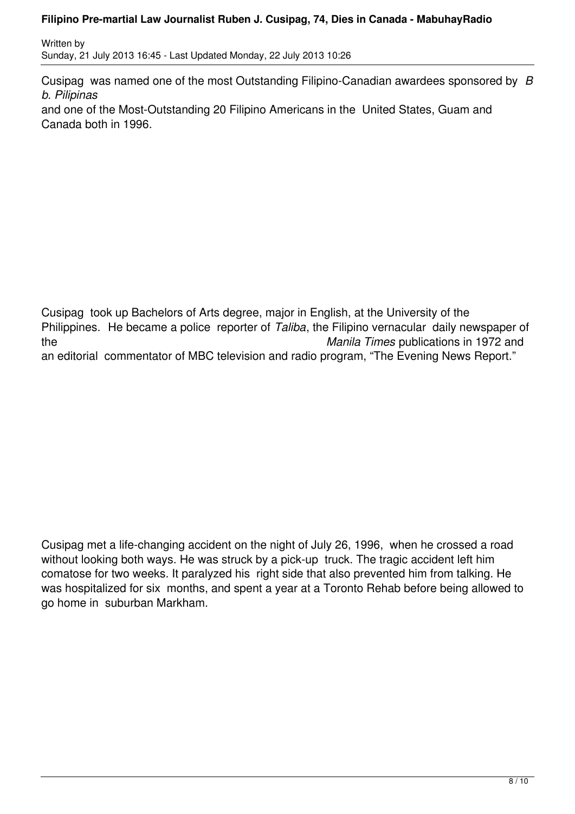Written by Sunday, 21 July 2013 16:45 - Last Updated Monday, 22 July 2013 10:26

Cusipag was named one of the most Outstanding Filipino-Canadian awardees sponsored by *B b. Pilipinas*

and one of the Most-Outstanding 20 Filipino Americans in the United States, Guam and Canada both in 1996.

Cusipag took up Bachelors of Arts degree, major in English, at the University of the Philippines. He became a police reporter of *Taliba*, the Filipino vernacular daily newspaper of the *Manila Times* publications in 1972 and an editorial commentator of MBC television and radio program, "The Evening News Report."

Cusipag met a life-changing accident on the night of July 26, 1996, when he crossed a road without looking both ways. He was struck by a pick-up truck. The tragic accident left him comatose for two weeks. It paralyzed his right side that also prevented him from talking. He was hospitalized for six months, and spent a year at a Toronto Rehab before being allowed to go home in suburban Markham.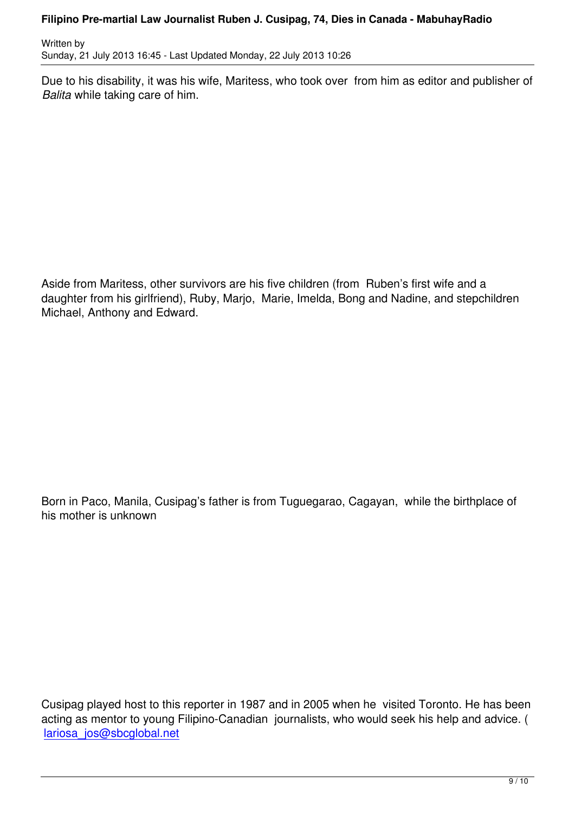Due to his disability, it was his wife, Maritess, who took over from him as editor and publisher of *Balita* while taking care of him.

Aside from Maritess, other survivors are his five children (from Ruben's first wife and a daughter from his girlfriend), Ruby, Marjo, Marie, Imelda, Bong and Nadine, and stepchildren Michael, Anthony and Edward.

Born in Paco, Manila, Cusipag's father is from Tuguegarao, Cagayan, while the birthplace of his mother is unknown

Cusipag played host to this reporter in 1987 and in 2005 when he visited Toronto. He has been acting as mentor to young Filipino-Canadian journalists, who would seek his help and advice. ( lariosa\_jos@sbcglobal.net